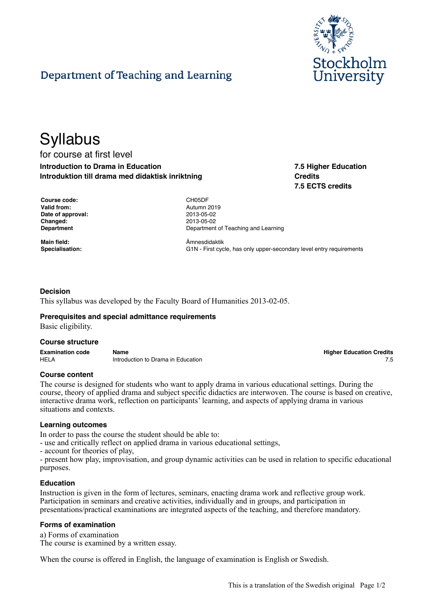

**7.5 Higher Education**

**7.5 ECTS credits**

**Credits**

# Department of Teaching and Learning

# **Syllabus** for course at first level **Introduction to Drama in Education**

**Introduktion till drama med didaktisk inriktning**

| <b>Course code:</b> |
|---------------------|
| Valid from:         |
| Date of approval:   |
| Changed:            |
| Department          |

**Main field:** Ämnesdidaktik

**Course code:** CH05DF **Valid from:** Autumn 2019 **Date of approval:** 2013-05-02 **Changed:** 2013-05-02 **Department of Teaching and Learning** 

**Specialisation:** G1N - First cycle, has only upper-secondary level entry requirements

# **Decision**

This syllabus was developed by the Faculty Board of Humanities 2013-02-05.

#### **Prerequisites and special admittance requirements**

Basic eligibility.

#### **Course structure**

| <b>Examination code</b> | Name                               | <b>Higher Education Credits</b> |
|-------------------------|------------------------------------|---------------------------------|
| <b>HELA</b>             | Introduction to Drama in Education |                                 |

#### **Course content**

The course is designed for students who want to apply drama in various educational settings. During the course, theory of applied drama and subject specific didactics are interwoven. The course is based on creative, interactive drama work, reflection on participants' learning, and aspects of applying drama in various situations and contexts.

#### **Learning outcomes**

In order to pass the course the student should be able to:

- use and critically reflect on applied drama in various educational settings,

- account for theories of play,

- present how play, improvisation, and group dynamic activities can be used in relation to specific educational purposes.

#### **Education**

Instruction is given in the form of lectures, seminars, enacting drama work and reflective group work. Participation in seminars and creative activities, individually and in groups, and participation in presentations/practical examinations are integrated aspects of the teaching, and therefore mandatory.

#### **Forms of examination**

a) Forms of examination The course is examined by a written essay.

When the course is offered in English, the language of examination is English or Swedish.